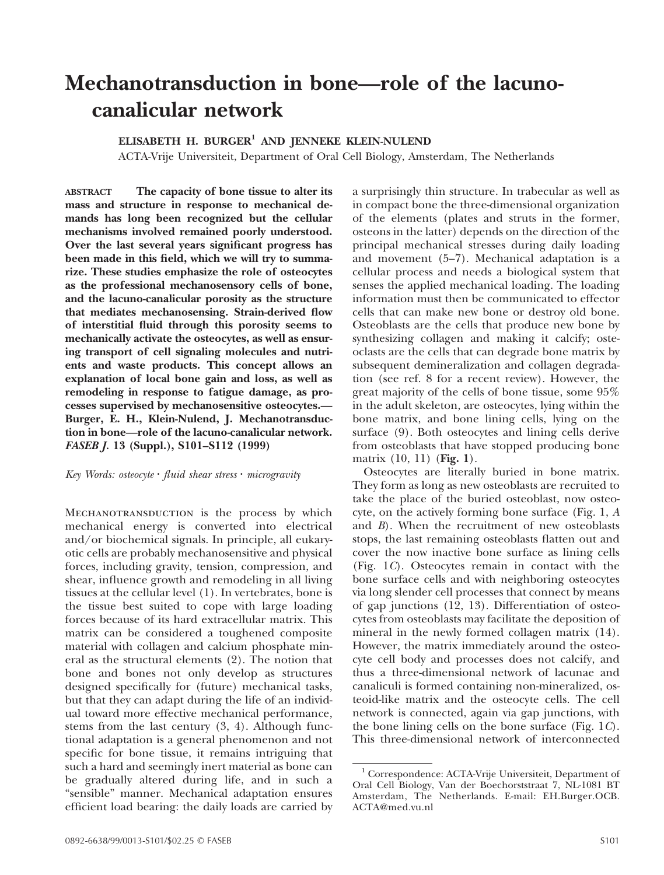# **Mechanotransduction in bone—role of the lacunocanalicular network**

#### **ELISABETH H. BURGER<sup>1</sup> AND JENNEKE KLEIN-NULEND**

ACTA-Vrije Universiteit, Department of Oral Cell Biology, Amsterdam, The Netherlands

**ABSTRACT The capacity of bone tissue to alter its mass and structure in response to mechanical demands has long been recognized but the cellular mechanisms involved remained poorly understood. Over the last several years significant progress has been made in this field, which we will try to summarize. These studies emphasize the role of osteocytes as the professional mechanosensory cells of bone, and the lacuno-canalicular porosity as the structure that mediates mechanosensing. Strain-derived flow of interstitial fluid through this porosity seems to mechanically activate the osteocytes, as well as ensuring transport of cell signaling molecules and nutrients and waste products. This concept allows an explanation of local bone gain and loss, as well as remodeling in response to fatigue damage, as processes supervised by mechanosensitive osteocytes.— Burger, E. H., Klein-Nulend, J. Mechanotransduction in bone—role of the lacuno-canalicular network.** *FASEB J.* **13 (Suppl.), S101–S112 (1999)**

*Key Words: osteocyte* • *fluid shear stress* • *microgravity* 

MECHANOTRANSDUCTION is the process by which mechanical energy is converted into electrical and/or biochemical signals. In principle, all eukaryotic cells are probably mechanosensitive and physical forces, including gravity, tension, compression, and shear, influence growth and remodeling in all living tissues at the cellular level (1). In vertebrates, bone is the tissue best suited to cope with large loading forces because of its hard extracellular matrix. This matrix can be considered a toughened composite material with collagen and calcium phosphate mineral as the structural elements (2). The notion that bone and bones not only develop as structures designed specifically for (future) mechanical tasks, but that they can adapt during the life of an individual toward more effective mechanical performance, stems from the last century (3, 4). Although functional adaptation is a general phenomenon and not specific for bone tissue, it remains intriguing that such a hard and seemingly inert material as bone can be gradually altered during life, and in such a "sensible" manner. Mechanical adaptation ensures efficient load bearing: the daily loads are carried by

a surprisingly thin structure. In trabecular as well as in compact bone the three-dimensional organization of the elements (plates and struts in the former, osteons in the latter) depends on the direction of the principal mechanical stresses during daily loading and movement (5–7). Mechanical adaptation is a cellular process and needs a biological system that senses the applied mechanical loading. The loading information must then be communicated to effector cells that can make new bone or destroy old bone. Osteoblasts are the cells that produce new bone by synthesizing collagen and making it calcify; osteoclasts are the cells that can degrade bone matrix by subsequent demineralization and collagen degradation (see ref. 8 for a recent review). However, the great majority of the cells of bone tissue, some 95% in the adult skeleton, are osteocytes, lying within the bone matrix, and bone lining cells, lying on the surface (9). Both osteocytes and lining cells derive from osteoblasts that have stopped producing bone matrix (10, 11) (**Fig. 1**).

Osteocytes are literally buried in bone matrix. They form as long as new osteoblasts are recruited to take the place of the buried osteoblast, now osteocyte, on the actively forming bone surface (Fig. 1, *A* and *B*). When the recruitment of new osteoblasts stops, the last remaining osteoblasts flatten out and cover the now inactive bone surface as lining cells (Fig. 1*C*). Osteocytes remain in contact with the bone surface cells and with neighboring osteocytes via long slender cell processes that connect by means of gap junctions (12, 13). Differentiation of osteocytes from osteoblasts may facilitate the deposition of mineral in the newly formed collagen matrix (14). However, the matrix immediately around the osteocyte cell body and processes does not calcify, and thus a three-dimensional network of lacunae and canaliculi is formed containing non-mineralized, osteoid-like matrix and the osteocyte cells. The cell network is connected, again via gap junctions, with the bone lining cells on the bone surface (Fig. 1*C*). This three-dimensional network of interconnected

<sup>&</sup>lt;sup>1</sup> Correspondence: ACTA-Vrije Universiteit, Department of Oral Cell Biology, Van der Boechorststraat 7, NL-1081 BT Amsterdam, The Netherlands. E-mail: EH.Burger.OCB. ACTA@med.vu.nl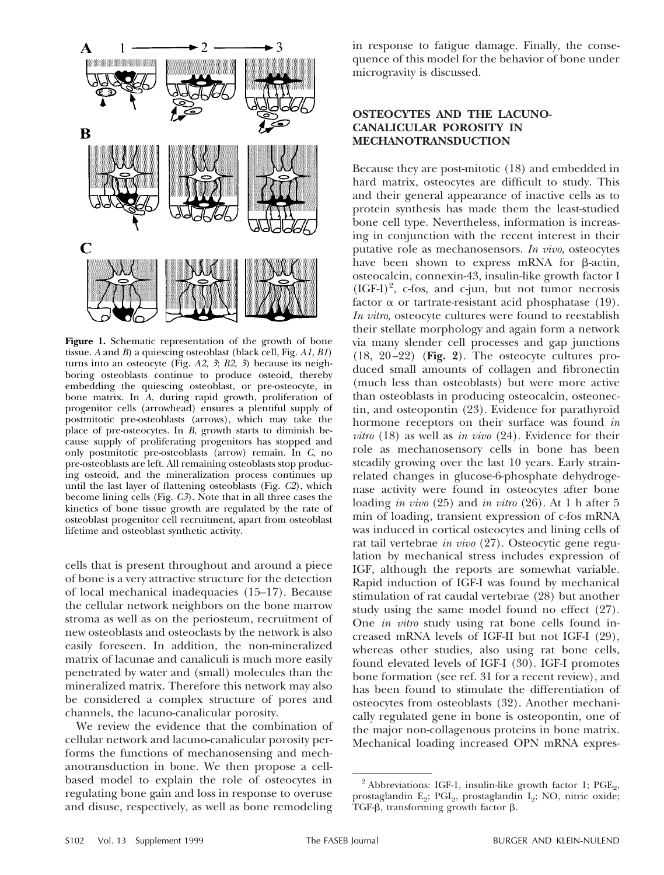

**Figure 1.** Schematic representation of the growth of bone tissue. *A* and *B*) a quiescing osteoblast (black cell, Fig. *A1*, *B1*) turns into an osteocyte (Fig. *A2*, *3*; *B2*, *3*) because its neighboring osteoblasts continue to produce osteoid, thereby embedding the quiescing osteoblast, or pre-osteocyte, in bone matrix. In *A*, during rapid growth, proliferation of progenitor cells (arrowhead) ensures a plentiful supply of postmitotic pre-osteoblasts (arrows), which may take the place of pre-osteocytes. In *B*, growth starts to diminish because supply of proliferating progenitors has stopped and only postmitotic pre-osteoblasts (arrow) remain. In *C*, no pre-osteoblasts are left. All remaining osteoblasts stop producing osteoid, and the mineralization process continues up until the last layer of flattening osteoblasts (Fig. *C2*), which become lining cells (Fig. *C3*). Note that in all three cases the kinetics of bone tissue growth are regulated by the rate of osteoblast progenitor cell recruitment, apart from osteoblast lifetime and osteoblast synthetic activity.

cells that is present throughout and around a piece of bone is a very attractive structure for the detection of local mechanical inadequacies (15–17). Because the cellular network neighbors on the bone marrow stroma as well as on the periosteum, recruitment of new osteoblasts and osteoclasts by the network is also easily foreseen. In addition, the non-mineralized matrix of lacunae and canaliculi is much more easily penetrated by water and (small) molecules than the mineralized matrix. Therefore this network may also be considered a complex structure of pores and channels, the lacuno-canalicular porosity.

We review the evidence that the combination of cellular network and lacuno-canalicular porosity performs the functions of mechanosensing and mechanotransduction in bone. We then propose a cellbased model to explain the role of osteocytes in regulating bone gain and loss in response to overuse and disuse, respectively, as well as bone remodeling in response to fatigue damage. Finally, the consequence of this model for the behavior of bone under microgravity is discussed.

# **OSTEOCYTES AND THE LACUNO-CANALICULAR POROSITY IN MECHANOTRANSDUCTION**

Because they are post-mitotic (18) and embedded in hard matrix, osteocytes are difficult to study. This and their general appearance of inactive cells as to protein synthesis has made them the least-studied bone cell type. Nevertheless, information is increasing in conjunction with the recent interest in their putative role as mechanosensors. *In vivo*, osteocytes have been shown to express mRNA for  $\beta$ -actin, osteocalcin, connexin-43, insulin-like growth factor I  $(IGF-I)<sup>2</sup>$ , c-fos, and c-jun, but not tumor necrosis factor  $\alpha$  or tartrate-resistant acid phosphatase (19). *In vitro*, osteocyte cultures were found to reestablish their stellate morphology and again form a network via many slender cell processes and gap junctions (18, 20–22) (**Fig. 2**). The osteocyte cultures produced small amounts of collagen and fibronectin (much less than osteoblasts) but were more active than osteoblasts in producing osteocalcin, osteonectin, and osteopontin (23). Evidence for parathyroid hormone receptors on their surface was found *in vitro* (18) as well as *in vivo* (24). Evidence for their role as mechanosensory cells in bone has been steadily growing over the last 10 years. Early strainrelated changes in glucose-6-phosphate dehydrogenase activity were found in osteocytes after bone loading *in vivo* (25) and *in vitro* (26). At 1 h after 5 min of loading, transient expression of c-fos mRNA was induced in cortical osteocytes and lining cells of rat tail vertebrae *in vivo* (27). Osteocytic gene regulation by mechanical stress includes expression of IGF, although the reports are somewhat variable. Rapid induction of IGF-I was found by mechanical stimulation of rat caudal vertebrae (28) but another study using the same model found no effect (27). One *in vitro* study using rat bone cells found increased mRNA levels of IGF-II but not IGF-I (29), whereas other studies, also using rat bone cells, found elevated levels of IGF-I (30). IGF-I promotes bone formation (see ref. 31 for a recent review), and has been found to stimulate the differentiation of osteocytes from osteoblasts (32). Another mechanically regulated gene in bone is osteopontin, one of the major non-collagenous proteins in bone matrix. Mechanical loading increased OPN mRNA expres-

 $2$  Abbreviations: IGF-1, insulin-like growth factor 1; PGE<sub>2</sub>, prostaglandin E<sub>2</sub>; PGI<sub>2</sub>, prostaglandin I<sub>2</sub>; NO, nitric oxide; TGF- $\beta$ , transforming growth factor  $\beta$ .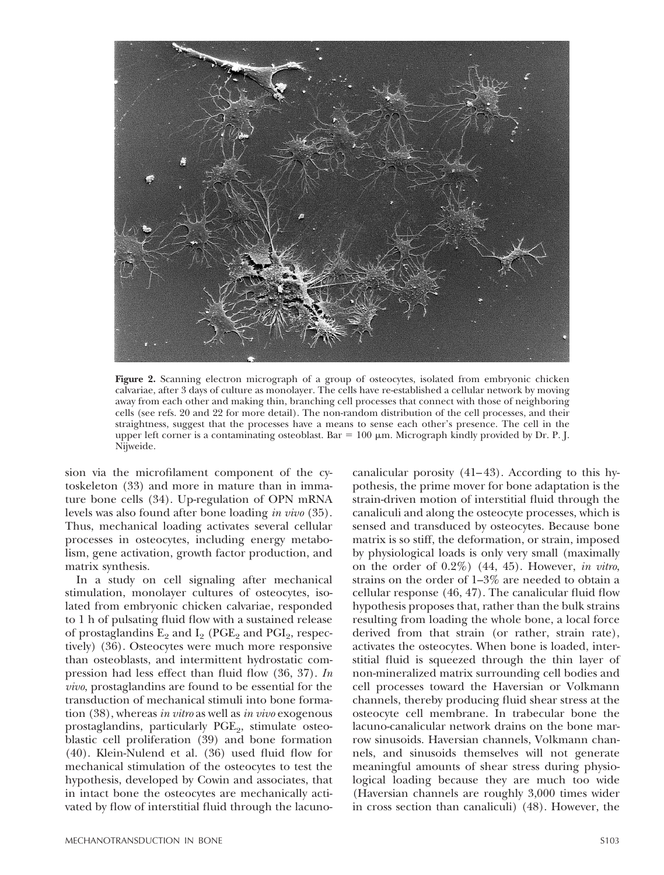

**Figure 2.** Scanning electron micrograph of a group of osteocytes, isolated from embryonic chicken calvariae, after 3 days of culture as monolayer. The cells have re-established a cellular network by moving away from each other and making thin, branching cell processes that connect with those of neighboring cells (see refs. 20 and 22 for more detail). The non-random distribution of the cell processes, and their straightness, suggest that the processes have a means to sense each other's presence. The cell in the upper left corner is a contaminating osteoblast. Bar  $= 100 \mu m$ . Micrograph kindly provided by Dr. P. J. Nijweide.

sion via the microfilament component of the cytoskeleton (33) and more in mature than in immature bone cells (34). Up-regulation of OPN mRNA levels was also found after bone loading *in vivo* (35). Thus, mechanical loading activates several cellular processes in osteocytes, including energy metabolism, gene activation, growth factor production, and matrix synthesis.

In a study on cell signaling after mechanical stimulation, monolayer cultures of osteocytes, isolated from embryonic chicken calvariae, responded to 1 h of pulsating fluid flow with a sustained release of prostaglandins  $E_2$  and  $I_2$  (PGE<sub>2</sub> and PGI<sub>2</sub>, respectively) (36). Osteocytes were much more responsive than osteoblasts, and intermittent hydrostatic compression had less effect than fluid flow (36, 37). *In vivo*, prostaglandins are found to be essential for the transduction of mechanical stimuli into bone formation (38), whereas *in vitro* as well as *in vivo* exogenous prostaglandins, particularly  $PGE_2$ , stimulate osteoblastic cell proliferation (39) and bone formation (40). Klein-Nulend et al. (36) used fluid flow for mechanical stimulation of the osteocytes to test the hypothesis, developed by Cowin and associates, that in intact bone the osteocytes are mechanically activated by flow of interstitial fluid through the lacunopothesis, the prime mover for bone adaptation is the strain-driven motion of interstitial fluid through the canaliculi and along the osteocyte processes, which is sensed and transduced by osteocytes. Because bone matrix is so stiff, the deformation, or strain, imposed by physiological loads is only very small (maximally on the order of 0.2%) (44, 45). However, *in vitro*, strains on the order of 1–3% are needed to obtain a cellular response (46, 47). The canalicular fluid flow hypothesis proposes that, rather than the bulk strains resulting from loading the whole bone, a local force derived from that strain (or rather, strain rate), activates the osteocytes. When bone is loaded, interstitial fluid is squeezed through the thin layer of non-mineralized matrix surrounding cell bodies and cell processes toward the Haversian or Volkmann channels, thereby producing fluid shear stress at the osteocyte cell membrane. In trabecular bone the lacuno-canalicular network drains on the bone marrow sinusoids. Haversian channels, Volkmann channels, and sinusoids themselves will not generate meaningful amounts of shear stress during physiological loading because they are much too wide (Haversian channels are roughly 3,000 times wider in cross section than canaliculi) (48). However, the

canalicular porosity (41–43). According to this hy-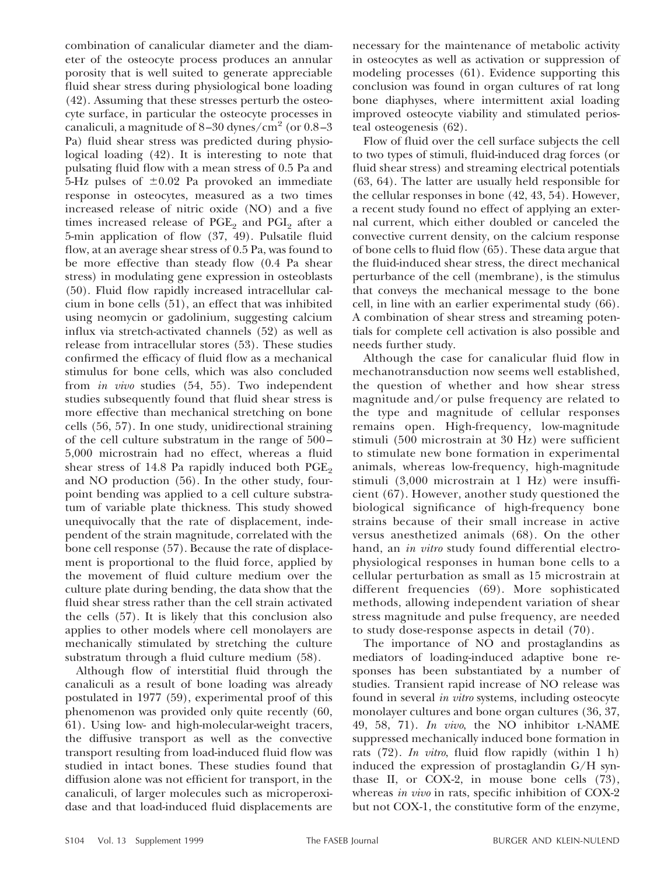combination of canalicular diameter and the diameter of the osteocyte process produces an annular porosity that is well suited to generate appreciable fluid shear stress during physiological bone loading (42). Assuming that these stresses perturb the osteocyte surface, in particular the osteocyte processes in canaliculi, a magnitude of  $8-30$  dynes/cm<sup>2</sup> (or  $0.8-3$ ) Pa) fluid shear stress was predicted during physiological loading (42). It is interesting to note that pulsating fluid flow with a mean stress of 0.5 Pa and 5-Hz pulses of  $\pm 0.02$  Pa provoked an immediate response in osteocytes, measured as a two times increased release of nitric oxide (NO) and a five times increased release of  $PGE_2$  and  $PGI_2$  after a 5-min application of flow (37, 49). Pulsatile fluid flow, at an average shear stress of 0.5 Pa, was found to be more effective than steady flow (0.4 Pa shear stress) in modulating gene expression in osteoblasts (50). Fluid flow rapidly increased intracellular calcium in bone cells (51), an effect that was inhibited using neomycin or gadolinium, suggesting calcium influx via stretch-activated channels (52) as well as release from intracellular stores (53). These studies confirmed the efficacy of fluid flow as a mechanical stimulus for bone cells, which was also concluded from *in vivo* studies (54, 55). Two independent studies subsequently found that fluid shear stress is more effective than mechanical stretching on bone cells (56, 57). In one study, unidirectional straining of the cell culture substratum in the range of 500– 5,000 microstrain had no effect, whereas a fluid shear stress of 14.8 Pa rapidly induced both  $PGE_2$ and NO production (56). In the other study, fourpoint bending was applied to a cell culture substratum of variable plate thickness. This study showed unequivocally that the rate of displacement, independent of the strain magnitude, correlated with the bone cell response (57). Because the rate of displacement is proportional to the fluid force, applied by the movement of fluid culture medium over the culture plate during bending, the data show that the fluid shear stress rather than the cell strain activated the cells (57). It is likely that this conclusion also applies to other models where cell monolayers are mechanically stimulated by stretching the culture substratum through a fluid culture medium (58).

Although flow of interstitial fluid through the canaliculi as a result of bone loading was already postulated in 1977 (59), experimental proof of this phenomenon was provided only quite recently (60, 61). Using low- and high-molecular-weight tracers, the diffusive transport as well as the convective transport resulting from load-induced fluid flow was studied in intact bones. These studies found that diffusion alone was not efficient for transport, in the canaliculi, of larger molecules such as microperoxidase and that load-induced fluid displacements are

necessary for the maintenance of metabolic activity in osteocytes as well as activation or suppression of modeling processes (61). Evidence supporting this conclusion was found in organ cultures of rat long bone diaphyses, where intermittent axial loading improved osteocyte viability and stimulated periosteal osteogenesis (62).

Flow of fluid over the cell surface subjects the cell to two types of stimuli, fluid-induced drag forces (or fluid shear stress) and streaming electrical potentials (63, 64). The latter are usually held responsible for the cellular responses in bone (42, 43, 54). However, a recent study found no effect of applying an external current, which either doubled or canceled the convective current density, on the calcium response of bone cells to fluid flow (65). These data argue that the fluid-induced shear stress, the direct mechanical perturbance of the cell (membrane), is the stimulus that conveys the mechanical message to the bone cell, in line with an earlier experimental study (66). A combination of shear stress and streaming potentials for complete cell activation is also possible and needs further study.

Although the case for canalicular fluid flow in mechanotransduction now seems well established, the question of whether and how shear stress magnitude and/or pulse frequency are related to the type and magnitude of cellular responses remains open. High-frequency, low-magnitude stimuli (500 microstrain at 30 Hz) were sufficient to stimulate new bone formation in experimental animals, whereas low-frequency, high-magnitude stimuli (3,000 microstrain at 1 Hz) were insufficient (67). However, another study questioned the biological significance of high-frequency bone strains because of their small increase in active versus anesthetized animals (68). On the other hand, an *in vitro* study found differential electrophysiological responses in human bone cells to a cellular perturbation as small as 15 microstrain at different frequencies (69). More sophisticated methods, allowing independent variation of shear stress magnitude and pulse frequency, are needed to study dose-response aspects in detail (70).

The importance of NO and prostaglandins as mediators of loading-induced adaptive bone responses has been substantiated by a number of studies. Transient rapid increase of NO release was found in several *in vitro* systems, including osteocyte monolayer cultures and bone organ cultures (36, 37, 49, 58, 71). *In vivo*, the NO inhibitor l-NAME suppressed mechanically induced bone formation in rats (72). *In vitro*, fluid flow rapidly (within 1 h) induced the expression of prostaglandin G/H synthase II, or COX-2, in mouse bone cells (73), whereas *in vivo* in rats, specific inhibition of COX-2 but not COX-1, the constitutive form of the enzyme,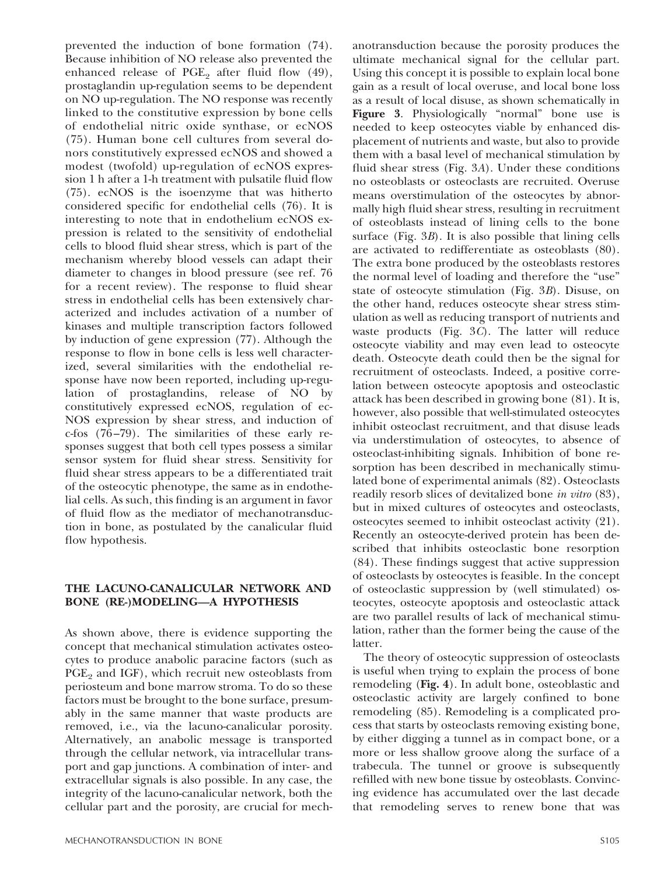prevented the induction of bone formation (74). Because inhibition of NO release also prevented the enhanced release of  $PGE_2$  after fluid flow (49), prostaglandin up-regulation seems to be dependent on NO up-regulation. The NO response was recently linked to the constitutive expression by bone cells of endothelial nitric oxide synthase, or ecNOS (75). Human bone cell cultures from several donors constitutively expressed ecNOS and showed a modest (twofold) up-regulation of ecNOS expression 1 h after a 1-h treatment with pulsatile fluid flow (75). ecNOS is the isoenzyme that was hitherto considered specific for endothelial cells (76). It is interesting to note that in endothelium ecNOS expression is related to the sensitivity of endothelial cells to blood fluid shear stress, which is part of the mechanism whereby blood vessels can adapt their diameter to changes in blood pressure (see ref. 76 for a recent review). The response to fluid shear stress in endothelial cells has been extensively characterized and includes activation of a number of kinases and multiple transcription factors followed by induction of gene expression (77). Although the response to flow in bone cells is less well characterized, several similarities with the endothelial response have now been reported, including up-regulation of prostaglandins, release of NO by constitutively expressed ecNOS, regulation of ec-NOS expression by shear stress, and induction of c-fos (76–79). The similarities of these early responses suggest that both cell types possess a similar sensor system for fluid shear stress. Sensitivity for fluid shear stress appears to be a differentiated trait of the osteocytic phenotype, the same as in endothelial cells. As such, this finding is an argument in favor of fluid flow as the mediator of mechanotransduction in bone, as postulated by the canalicular fluid flow hypothesis.

# **THE LACUNO-CANALICULAR NETWORK AND BONE (RE-)MODELING—A HYPOTHESIS**

As shown above, there is evidence supporting the concept that mechanical stimulation activates osteocytes to produce anabolic paracine factors (such as  $PGE<sub>2</sub>$  and IGF), which recruit new osteoblasts from periosteum and bone marrow stroma. To do so these factors must be brought to the bone surface, presumably in the same manner that waste products are removed, i.e., via the lacuno-canalicular porosity. Alternatively, an anabolic message is transported through the cellular network, via intracellular transport and gap junctions. A combination of inter- and extracellular signals is also possible. In any case, the integrity of the lacuno-canalicular network, both the cellular part and the porosity, are crucial for mechanotransduction because the porosity produces the ultimate mechanical signal for the cellular part. Using this concept it is possible to explain local bone gain as a result of local overuse, and local bone loss as a result of local disuse, as shown schematically in **Figure 3**. Physiologically "normal" bone use is needed to keep osteocytes viable by enhanced displacement of nutrients and waste, but also to provide them with a basal level of mechanical stimulation by fluid shear stress (Fig. 3*A*). Under these conditions no osteoblasts or osteoclasts are recruited. Overuse means overstimulation of the osteocytes by abnormally high fluid shear stress, resulting in recruitment of osteoblasts instead of lining cells to the bone surface (Fig. 3*B*). It is also possible that lining cells are activated to redifferentiate as osteoblasts (80). The extra bone produced by the osteoblasts restores the normal level of loading and therefore the "use" state of osteocyte stimulation (Fig. 3*B*). Disuse, on the other hand, reduces osteocyte shear stress stimulation as well as reducing transport of nutrients and waste products (Fig. 3*C*). The latter will reduce osteocyte viability and may even lead to osteocyte death. Osteocyte death could then be the signal for recruitment of osteoclasts. Indeed, a positive correlation between osteocyte apoptosis and osteoclastic attack has been described in growing bone (81). It is, however, also possible that well-stimulated osteocytes inhibit osteoclast recruitment, and that disuse leads via understimulation of osteocytes, to absence of osteoclast-inhibiting signals. Inhibition of bone resorption has been described in mechanically stimulated bone of experimental animals (82). Osteoclasts readily resorb slices of devitalized bone *in vitro* (83), but in mixed cultures of osteocytes and osteoclasts, osteocytes seemed to inhibit osteoclast activity (21). Recently an osteocyte-derived protein has been described that inhibits osteoclastic bone resorption (84). These findings suggest that active suppression of osteoclasts by osteocytes is feasible. In the concept of osteoclastic suppression by (well stimulated) osteocytes, osteocyte apoptosis and osteoclastic attack are two parallel results of lack of mechanical stimulation, rather than the former being the cause of the latter.

The theory of osteocytic suppression of osteoclasts is useful when trying to explain the process of bone remodeling (**Fig. 4**). In adult bone, osteoblastic and osteoclastic activity are largely confined to bone remodeling (85). Remodeling is a complicated process that starts by osteoclasts removing existing bone, by either digging a tunnel as in compact bone, or a more or less shallow groove along the surface of a trabecula. The tunnel or groove is subsequently refilled with new bone tissue by osteoblasts. Convincing evidence has accumulated over the last decade that remodeling serves to renew bone that was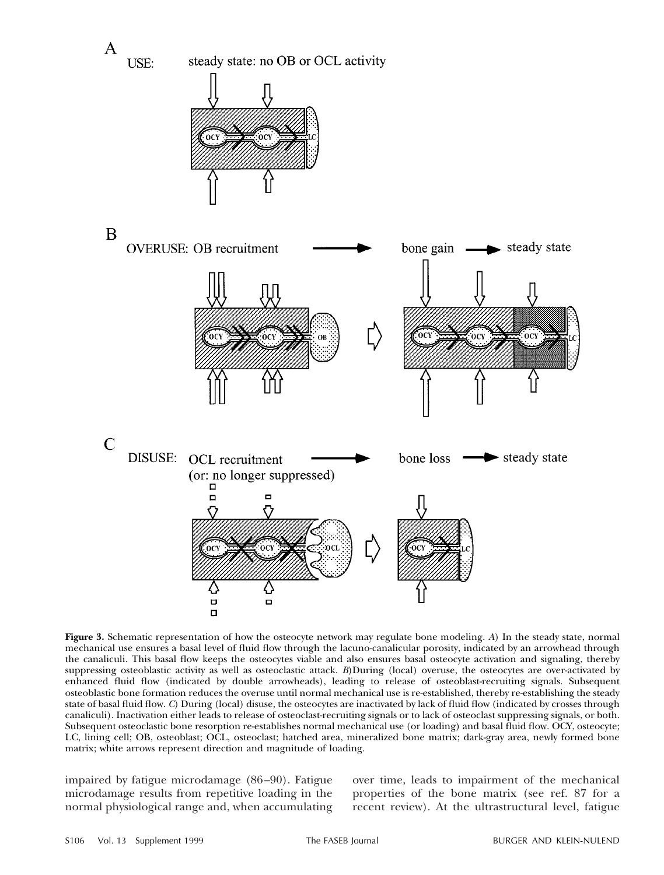

**Figure 3.** Schematic representation of how the osteocyte network may regulate bone modeling. *A*) In the steady state, normal mechanical use ensures a basal level of fluid flow through the lacuno-canalicular porosity, indicated by an arrowhead through the canaliculi. This basal flow keeps the osteocytes viable and also ensures basal osteocyte activation and signaling, thereby suppressing osteoblastic activity as well as osteoclastic attack. *B*)During (local) overuse, the osteocytes are over-activated by enhanced fluid flow (indicated by double arrowheads), leading to release of osteoblast-recruiting signals. Subsequent osteoblastic bone formation reduces the overuse until normal mechanical use is re-established, thereby re-establishing the steady state of basal fluid flow. *C*) During (local) disuse, the osteocytes are inactivated by lack of fluid flow (indicated by crosses through canaliculi). Inactivation either leads to release of osteoclast-recruiting signals or to lack of osteoclast suppressing signals, or both. Subsequent osteoclastic bone resorption re-establishes normal mechanical use (or loading) and basal fluid flow. OCY, osteocyte; LC, lining cell; OB, osteoblast; OCL, osteoclast; hatched area, mineralized bone matrix; dark-gray area, newly formed bone matrix; white arrows represent direction and magnitude of loading.

impaired by fatigue microdamage (86–90). Fatigue microdamage results from repetitive loading in the normal physiological range and, when accumulating over time, leads to impairment of the mechanical properties of the bone matrix (see ref. 87 for a recent review). At the ultrastructural level, fatigue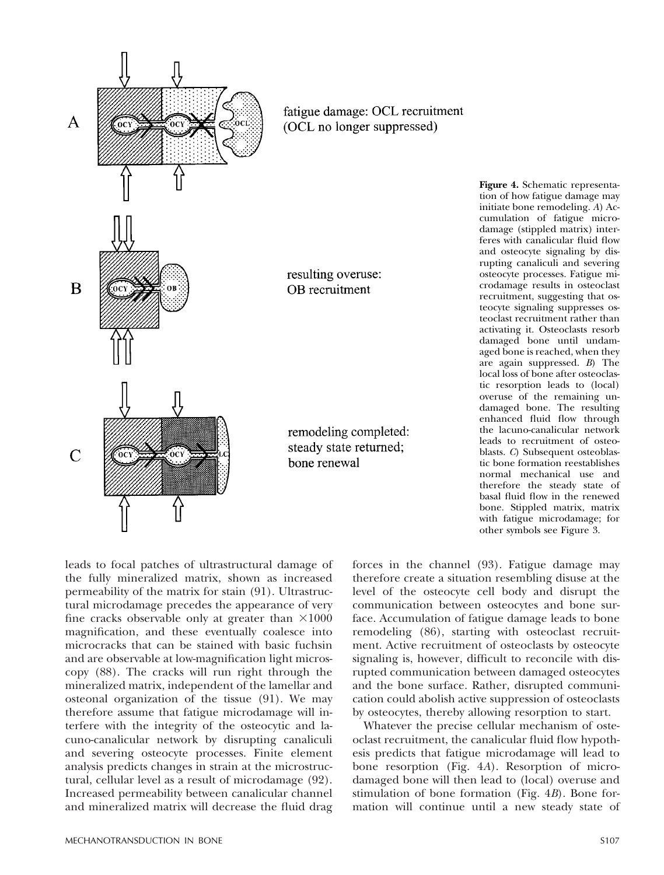

**Figure 4.** Schematic representation of how fatigue damage may initiate bone remodeling. *A*) Accumulation of fatigue microdamage (stippled matrix) interferes with canalicular fluid flow and osteocyte signaling by disrupting canaliculi and severing osteocyte processes. Fatigue microdamage results in osteoclast recruitment, suggesting that osteocyte signaling suppresses osteoclast recruitment rather than activating it. Osteoclasts resorb damaged bone until undamaged bone is reached, when they are again suppressed. *B*) The local loss of bone after osteoclastic resorption leads to (local) overuse of the remaining undamaged bone. The resulting enhanced fluid flow through the lacuno-canalicular network leads to recruitment of osteoblasts. *C*) Subsequent osteoblastic bone formation reestablishes normal mechanical use and therefore the steady state of basal fluid flow in the renewed bone. Stippled matrix, matrix with fatigue microdamage; for other symbols see Figure 3.

leads to focal patches of ultrastructural damage of the fully mineralized matrix, shown as increased permeability of the matrix for stain (91). Ultrastructural microdamage precedes the appearance of very fine cracks observable only at greater than  $\times 1000$ magnification, and these eventually coalesce into microcracks that can be stained with basic fuchsin and are observable at low-magnification light microscopy (88). The cracks will run right through the mineralized matrix, independent of the lamellar and osteonal organization of the tissue (91). We may therefore assume that fatigue microdamage will interfere with the integrity of the osteocytic and lacuno-canalicular network by disrupting canaliculi and severing osteocyte processes. Finite element analysis predicts changes in strain at the microstructural, cellular level as a result of microdamage (92). Increased permeability between canalicular channel and mineralized matrix will decrease the fluid drag

forces in the channel (93). Fatigue damage may therefore create a situation resembling disuse at the level of the osteocyte cell body and disrupt the communication between osteocytes and bone surface. Accumulation of fatigue damage leads to bone remodeling (86), starting with osteoclast recruitment. Active recruitment of osteoclasts by osteocyte signaling is, however, difficult to reconcile with disrupted communication between damaged osteocytes and the bone surface. Rather, disrupted communication could abolish active suppression of osteoclasts by osteocytes, thereby allowing resorption to start.

Whatever the precise cellular mechanism of osteoclast recruitment, the canalicular fluid flow hypothesis predicts that fatigue microdamage will lead to bone resorption (Fig. 4*A*). Resorption of microdamaged bone will then lead to (local) overuse and stimulation of bone formation (Fig. 4*B*). Bone formation will continue until a new steady state of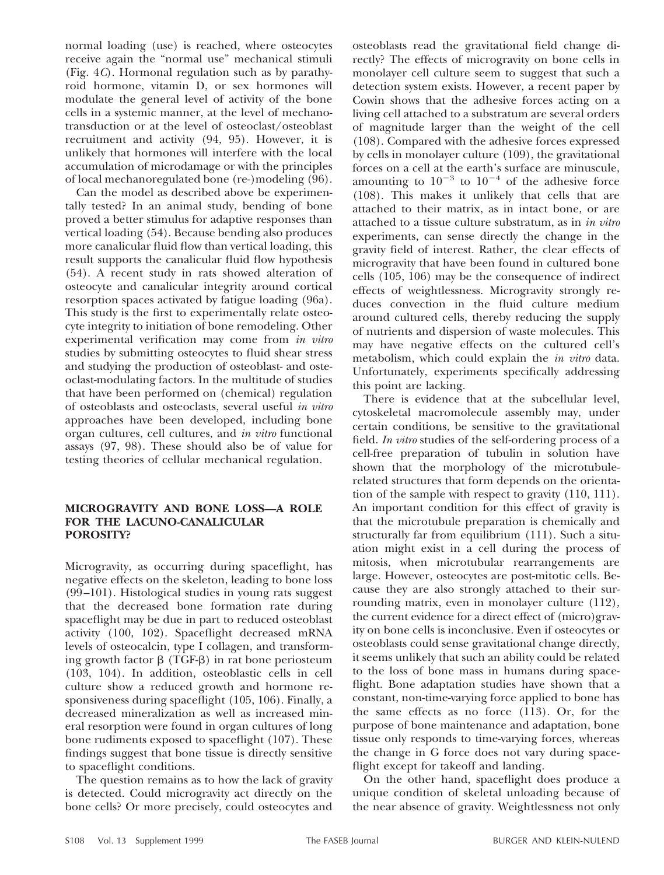normal loading (use) is reached, where osteocytes receive again the "normal use" mechanical stimuli (Fig. 4*C*). Hormonal regulation such as by parathyroid hormone, vitamin D, or sex hormones will modulate the general level of activity of the bone cells in a systemic manner, at the level of mechanotransduction or at the level of osteoclast/osteoblast recruitment and activity (94, 95). However, it is unlikely that hormones will interfere with the local accumulation of microdamage or with the principles of local mechanoregulated bone (re-)modeling (96).

Can the model as described above be experimentally tested? In an animal study, bending of bone proved a better stimulus for adaptive responses than vertical loading (54). Because bending also produces more canalicular fluid flow than vertical loading, this result supports the canalicular fluid flow hypothesis (54). A recent study in rats showed alteration of osteocyte and canalicular integrity around cortical resorption spaces activated by fatigue loading (96a). This study is the first to experimentally relate osteocyte integrity to initiation of bone remodeling. Other experimental verification may come from *in vitro* studies by submitting osteocytes to fluid shear stress and studying the production of osteoblast- and osteoclast-modulating factors. In the multitude of studies that have been performed on (chemical) regulation of osteoblasts and osteoclasts, several useful *in vitro* approaches have been developed, including bone organ cultures, cell cultures, and *in vitro* functional assays (97, 98). These should also be of value for testing theories of cellular mechanical regulation.

### **MICROGRAVITY AND BONE LOSS—A ROLE FOR THE LACUNO-CANALICULAR POROSITY?**

Microgravity, as occurring during spaceflight, has negative effects on the skeleton, leading to bone loss (99–101). Histological studies in young rats suggest that the decreased bone formation rate during spaceflight may be due in part to reduced osteoblast activity (100, 102). Spaceflight decreased mRNA levels of osteocalcin, type I collagen, and transforming growth factor  $\beta$  (TGF- $\beta$ ) in rat bone periosteum (103, 104). In addition, osteoblastic cells in cell culture show a reduced growth and hormone responsiveness during spaceflight (105, 106). Finally, a decreased mineralization as well as increased mineral resorption were found in organ cultures of long bone rudiments exposed to spaceflight (107). These findings suggest that bone tissue is directly sensitive to spaceflight conditions.

The question remains as to how the lack of gravity is detected. Could microgravity act directly on the bone cells? Or more precisely, could osteocytes and

osteoblasts read the gravitational field change directly? The effects of microgravity on bone cells in monolayer cell culture seem to suggest that such a detection system exists. However, a recent paper by Cowin shows that the adhesive forces acting on a living cell attached to a substratum are several orders of magnitude larger than the weight of the cell (108). Compared with the adhesive forces expressed by cells in monolayer culture (109), the gravitational forces on a cell at the earth's surface are minuscule, amounting to  $10^{-3}$  to  $10^{-4}$  of the adhesive force (108). This makes it unlikely that cells that are attached to their matrix, as in intact bone, or are attached to a tissue culture substratum, as in *in vitro* experiments, can sense directly the change in the gravity field of interest. Rather, the clear effects of microgravity that have been found in cultured bone cells (105, 106) may be the consequence of indirect effects of weightlessness. Microgravity strongly reduces convection in the fluid culture medium around cultured cells, thereby reducing the supply of nutrients and dispersion of waste molecules. This may have negative effects on the cultured cell's metabolism, which could explain the *in vitro* data. Unfortunately, experiments specifically addressing this point are lacking.

There is evidence that at the subcellular level, cytoskeletal macromolecule assembly may, under certain conditions, be sensitive to the gravitational field. *In vitro* studies of the self-ordering process of a cell-free preparation of tubulin in solution have shown that the morphology of the microtubulerelated structures that form depends on the orientation of the sample with respect to gravity (110, 111). An important condition for this effect of gravity is that the microtubule preparation is chemically and structurally far from equilibrium (111). Such a situation might exist in a cell during the process of mitosis, when microtubular rearrangements are large. However, osteocytes are post-mitotic cells. Because they are also strongly attached to their surrounding matrix, even in monolayer culture (112), the current evidence for a direct effect of (micro)gravity on bone cells is inconclusive. Even if osteocytes or osteoblasts could sense gravitational change directly, it seems unlikely that such an ability could be related to the loss of bone mass in humans during spaceflight. Bone adaptation studies have shown that a constant, non-time-varying force applied to bone has the same effects as no force (113). Or, for the purpose of bone maintenance and adaptation, bone tissue only responds to time-varying forces, whereas the change in G force does not vary during spaceflight except for takeoff and landing.

On the other hand, spaceflight does produce a unique condition of skeletal unloading because of the near absence of gravity. Weightlessness not only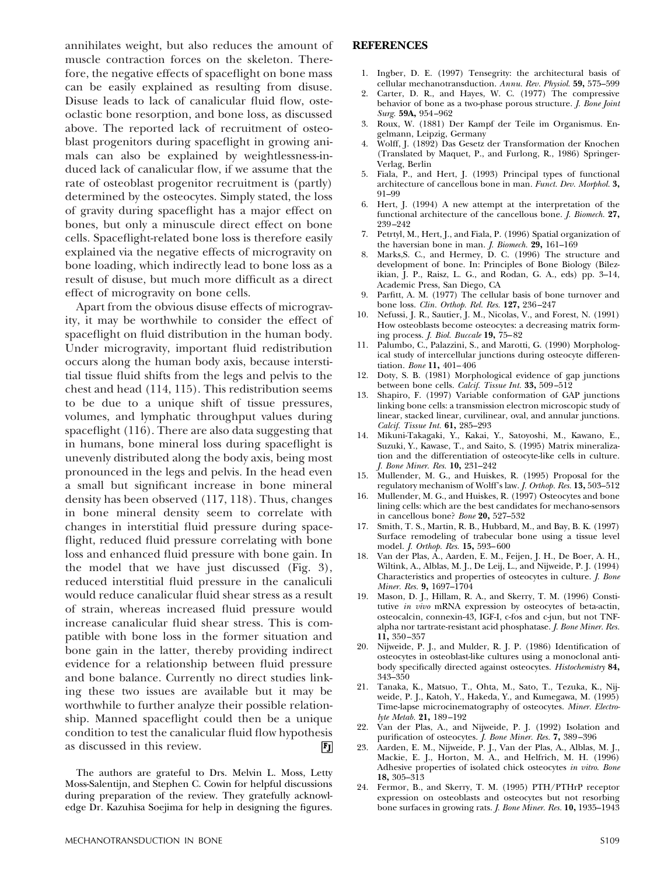annihilates weight, but also reduces the amount of muscle contraction forces on the skeleton. Therefore, the negative effects of spaceflight on bone mass can be easily explained as resulting from disuse. Disuse leads to lack of canalicular fluid flow, osteoclastic bone resorption, and bone loss, as discussed above. The reported lack of recruitment of osteoblast progenitors during spaceflight in growing animals can also be explained by weightlessness-induced lack of canalicular flow, if we assume that the rate of osteoblast progenitor recruitment is (partly) determined by the osteocytes. Simply stated, the loss of gravity during spaceflight has a major effect on bones, but only a minuscule direct effect on bone cells. Spaceflight-related bone loss is therefore easily explained via the negative effects of microgravity on bone loading, which indirectly lead to bone loss as a result of disuse, but much more difficult as a direct effect of microgravity on bone cells.

Apart from the obvious disuse effects of microgravity, it may be worthwhile to consider the effect of spaceflight on fluid distribution in the human body. Under microgravity, important fluid redistribution occurs along the human body axis, because interstitial tissue fluid shifts from the legs and pelvis to the chest and head (114, 115). This redistribution seems to be due to a unique shift of tissue pressures, volumes, and lymphatic throughput values during spaceflight (116). There are also data suggesting that in humans, bone mineral loss during spaceflight is unevenly distributed along the body axis, being most pronounced in the legs and pelvis. In the head even a small but significant increase in bone mineral density has been observed (117, 118). Thus, changes in bone mineral density seem to correlate with changes in interstitial fluid pressure during spaceflight, reduced fluid pressure correlating with bone loss and enhanced fluid pressure with bone gain. In the model that we have just discussed (Fig. 3), reduced interstitial fluid pressure in the canaliculi would reduce canalicular fluid shear stress as a result of strain, whereas increased fluid pressure would increase canalicular fluid shear stress. This is compatible with bone loss in the former situation and bone gain in the latter, thereby providing indirect evidence for a relationship between fluid pressure and bone balance. Currently no direct studies linking these two issues are available but it may be worthwhile to further analyze their possible relationship. Manned spaceflight could then be a unique condition to test the canalicular fluid flow hypothesis as discussed in this review.  $|{\bf FJ}|$ 

The authors are grateful to Drs. Melvin L. Moss, Letty Moss-Salentijn, and Stephen C. Cowin for helpful discussions during preparation of the review. They gratefully acknowledge Dr. Kazuhisa Soejima for help in designing the figures.

#### **REFERENCES**

- 1. Ingber, D. E. (1997) Tensegrity: the architectural basis of cellular mechanotransduction. *Annu. Rev. Physiol.* **59,** 575–599
- 2. Carter, D. R., and Hayes, W. C. (1977) The compressive behavior of bone as a two-phase porous structure. *J. Bone Joint Surg.* **59A,** 954–962
- 3. Roux, W. (1881) Der Kampf der Teile im Organismus. Engelmann, Leipzig, Germany
- 4. Wolff, J. (1892) Das Gesetz der Transformation der Knochen (Translated by Maquet, P., and Furlong, R., 1986) Springer-Verlag, Berlin
- 5. Fiala, P., and Hert, J. (1993) Principal types of functional architecture of cancellous bone in man. *Funct. Dev. Morphol.* **3,** 91–99
- 6. Hert, J. (1994) A new attempt at the interpretation of the functional architecture of the cancellous bone. *J. Biomech.* **27,** 239–242
- 7. Petrtyl, M., Hert, J., and Fiala, P. (1996) Spatial organization of the haversian bone in man. *J. Biomech.* **29,** 161–169
- 8. Marks,S. C., and Hermey, D. C. (1996) The structure and development of bone. In: Principles of Bone Biology (Bilezikian, J. P., Raisz, L. G., and Rodan, G. A., eds) pp. 3–14, Academic Press, San Diego, CA
- 9. Parfitt, A. M. (1977) The cellular basis of bone turnover and bone loss. *Clin. Orthop. Rel. Res.* **127,** 236–247
- 10. Nefussi, J. R., Sautier, J. M., Nicolas, V., and Forest, N. (1991) How osteoblasts become osteocytes: a decreasing matrix forming process. *J. Biol. Buccale* **19,** 75–82
- 11. Palumbo, C., Palazzini, S., and Marotti, G. (1990) Morphological study of intercellular junctions during osteocyte differentiation. *Bone* **11,** 401–406
- 12. Doty, S. B. (1981) Morphological evidence of gap junctions between bone cells. *Calcif. Tissue Int.* **33,** 509–512
- 13. Shapiro, F. (1997) Variable conformation of GAP junctions linking bone cells: a transmission electron microscopic study of linear, stacked linear, curvilinear, oval, and annular junctions. *Calcif. Tissue Int.* **61,** 285–293
- 14. Mikuni-Takagaki, Y., Kakai, Y., Satoyoshi, M., Kawano, E., Suzuki, Y., Kawase, T., and Saito, S. (1995) Matrix mineralization and the differentiation of osteocyte-like cells in culture. *J. Bone Miner. Res.* **10,** 231–242
- 15. Mullender, M. G., and Huiskes, R. (1995) Proposal for the regulatory mechanism of Wolff's law. *J. Orthop. Res.* **13,** 503–512
- 16. Mullender, M. G., and Huiskes, R. (1997) Osteocytes and bone lining cells: which are the best candidates for mechano-sensors in cancellous bone? *Bone* **20,** 527–532
- 17. Smith, T. S., Martin, R. B., Hubbard, M., and Bay, B. K. (1997) Surface remodeling of trabecular bone using a tissue level model. *J. Orthop. Res.* **15,** 593–600
- 18. Van der Plas, A., Aarden, E. M., Feijen, J. H., De Boer, A. H., Wiltink, A., Alblas, M. J., De Leij, L., and Nijweide, P. J. (1994) Characteristics and properties of osteocytes in culture. *J. Bone Miner. Res.* **9,** 1697–1704
- 19. Mason, D. J., Hillam, R. A., and Skerry, T. M. (1996) Constitutive *in vivo* mRNA expression by osteocytes of beta-actin, osteocalcin, connexin-43, IGF-I, c-fos and c-jun, but not TNFalpha nor tartrate-resistant acid phosphatase. *J. Bone Miner. Res.* **11,** 350–357
- 20. Nijweide, P. J., and Mulder, R. J. P. (1986) Identification of osteocytes in osteoblast-like cultures using a monoclonal antibody specifically directed against osteocytes. *Histochemistry* **84,** 343–350
- 21. Tanaka, K., Matsuo, T., Ohta, M., Sato, T., Tezuka, K., Nijweide, P. J., Katoh, Y., Hakeda, Y., and Kumegawa, M. (1995) Time-lapse microcinematography of osteocytes. *Miner. Electrolyte Metab.* **21,** 189–192
- 22. Van der Plas, A., and Nijweide, P. J. (1992) Isolation and purification of osteocytes. *J. Bone Miner. Res.* **7,** 389–396
- 23. Aarden, E. M., Nijweide, P. J., Van der Plas, A., Alblas, M. J., Mackie, E. J., Horton, M. A., and Helfrich, M. H. (1996) Adhesive properties of isolated chick osteocytes *in vitro*. *Bone* **18,** 305–313
- 24. Fermor, B., and Skerry, T. M. (1995) PTH/PTHrP receptor expression on osteoblasts and osteocytes but not resorbing bone surfaces in growing rats. *J. Bone Miner. Res.* **10,** 1935–1943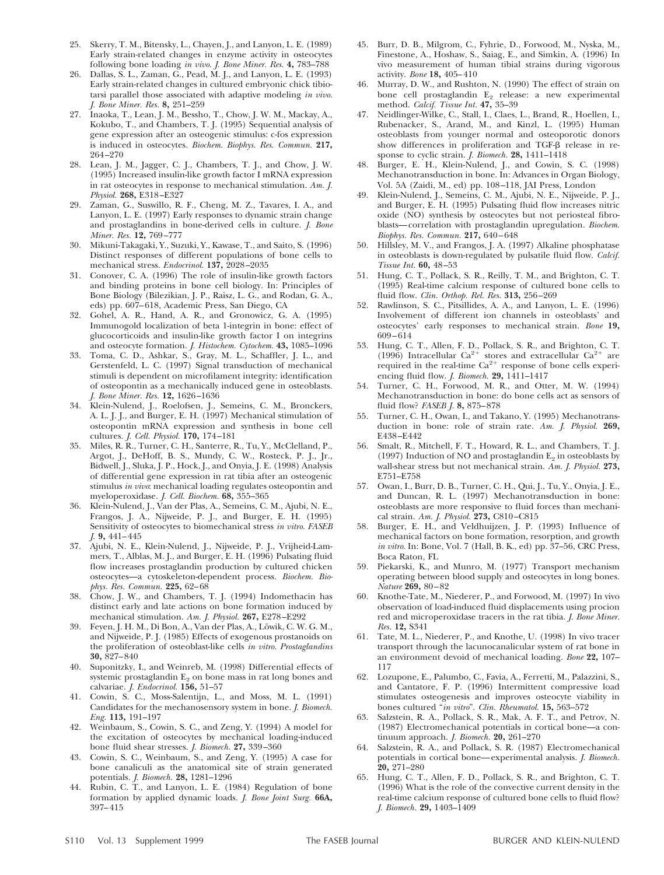- 25. Skerry, T. M., Bitensky, L., Chayen, J., and Lanyon, L. E. (1989) Early strain-related changes in enzyme activity in osteocytes following bone loading *in vivo*. *J. Bone Miner. Res.* **4,** 783–788
- 26. Dallas, S. L., Zaman, G., Pead, M. J., and Lanyon, L. E. (1993) Early strain-related changes in cultured embryonic chick tibiotarsi parallel those associated with adaptive modeling *in vivo*. *J. Bone Miner. Res.* **8,** 251–259
- 27. Inaoka, T., Lean, J. M., Bessho, T., Chow, J. W. M., Mackay, A., Kokubo, T., and Chambers, T. J. (1995) Sequential analysis of gene expression after an osteogenic stimulus: c-fos expression is induced in osteocytes. *Biochem. Biophys. Res. Commun.* **217,** 264–270
- 28. Lean, J. M., Jagger, C. J., Chambers, T. J., and Chow, J. W. (1995) Increased insulin-like growth factor I mRNA expression in rat osteocytes in response to mechanical stimulation. *Am. J. Physiol.* **268,** E318–E327
- 29. Zaman, G., Suswillo, R. F., Cheng, M. Z., Tavares, I. A., and Lanyon, L. E. (1997) Early responses to dynamic strain change and prostaglandins in bone-derived cells in culture. *J. Bone Miner. Res.* **12,** 769–777
- 30. Mikuni-Takagaki, Y., Suzuki, Y., Kawase, T., and Saito, S. (1996) Distinct responses of different populations of bone cells to mechanical stress. *Endocrinol.* **137,** 2028–2035
- 31. Conover, C. A. (1996) The role of insulin-like growth factors and binding proteins in bone cell biology. In: Principles of Bone Biology (Bilezikian, J. P., Raisz, L. G., and Rodan, G. A., eds) pp. 607–618, Academic Press, San Diego, CA
- 32. Gohel, A. R., Hand, A. R., and Gronowicz, G. A. (1995) Immunogold localization of beta 1-integrin in bone: effect of glucocorticoids and insulin-like growth factor I on integrins and osteocyte formation. *J. Histochem. Cytochem.* **43,** 1085–1096
- 33. Toma, C. D., Ashkar, S., Gray, M. L., Schaffler, J. L., and Gerstenfeld, L. C. (1997) Signal transduction of mechanical stimuli is dependent on microfilament integrity: identification of osteopontin as a mechanically induced gene in osteoblasts. *J. Bone Miner. Res.* **12,** 1626–1636
- 34. Klein-Nulend, J., Roelofsen, J., Semeins, C. M., Bronckers, A. L. J. J., and Burger, E. H. (1997) Mechanical stimulation of osteopontin mRNA expression and synthesis in bone cell cultures. *J. Cell. Physiol.* **170,** 174–181
- 35. Miles, R. R., Turner, C. H., Santerre, R., Tu, Y., McClelland, P., Argot, J., DeHoff, B. S., Mundy, C. W., Rosteck, P. J., Jr., Bidwell, J., Sluka, J. P., Hock, J., and Onyia, J. E. (1998) Analysis of differential gene expression in rat tibia after an osteogenic stimulus *in vivo*: mechanical loading regulates osteopontin and myeloperoxidase. *J. Cell. Biochem.* **68,** 355–365
- 36. Klein-Nulend, J., Van der Plas, A., Semeins, C. M., Ajubi, N. E., Frangos, J. A., Nijweide, P. J., and Burger, E. H. (1995) Sensitivity of osteocytes to biomechanical stress *in vitro. FASEB J.* **9,** 441–445
- 37. Ajubi, N. E., Klein-Nulend, J., Nijweide, P. J., Vrijheid-Lammers, T., Alblas, M. J., and Burger, E. H. (1996) Pulsating fluid flow increases prostaglandin production by cultured chicken osteocytes—a cytoskeleton-dependent process. *Biochem. Biophys. Res. Commun.* **225,** 62–68
- 38. Chow, J. W., and Chambers, T. J. (1994) Indomethacin has distinct early and late actions on bone formation induced by mechanical stimulation. *Am. J. Physiol.* **267,** E278–E292
- 39. Feyen, J. H. M., Di Bon, A., Van der Plas, A., Löwik, C. W. G. M., and Nijweide, P. J. (1985) Effects of exogenous prostanoids on the proliferation of osteoblast-like cells *in vitro. Prostaglandins* **30,** 827–840
- 40. Suponitzky, I., and Weinreb, M. (1998) Differential effects of systemic prostaglandin  $E_2$  on bone mass in rat long bones and calvariae. *J. Endocrinol.* **156,** 51–57
- 41. Cowin, S. C., Moss-Salentijn, L., and Moss, M. L. (1991) Candidates for the mechanosensory system in bone. *J. Biomech. Eng.* **113,** 191–197
- 42. Weinbaum, S., Cowin, S. C., and Zeng, Y. (1994) A model for the excitation of osteocytes by mechanical loading-induced bone fluid shear stresses. *J. Biomech.* **27,** 339–360
- 43. Cowin, S. C., Weinbaum, S., and Zeng, Y. (1995) A case for bone canaliculi as the anatomical site of strain generated potentials. *J. Biomech.* **28,** 1281–1296
- 44. Rubin, C. T., and Lanyon, L. E. (1984) Regulation of bone formation by applied dynamic loads. *J. Bone Joint Surg.* **66A,** 397–415
- 45. Burr, D. B., Milgrom, C., Fyhrie, D., Forwood, M., Nyska, M., Finestone, A., Hoshaw, S., Saiag, E., and Simkin, A. (1996) In vivo measurement of human tibial strains during vigorous activity. *Bone* **18,** 405–410
- 46. Murray, D. W., and Rushton, N. (1990) The effect of strain on bone cell prostaglandin E<sub>2</sub> release: a new experimental method. *Calcif. Tissue Int.* **47,** 35–39
- 47. Neidlinger-Wilke, C., Stall, I., Claes, L., Brand, R., Hoellen, I., Rubenacker, S., Arand, M., and Kinzl, L. (1995) Human osteoblasts from younger normal and osteoporotic donors show differences in proliferation and TGF- $\beta$  release in response to cyclic strain. *J. Biomech.* **28,** 1411–1418
- Burger, E. H., Klein-Nulend, J., and Cowin, S. C. (1998) Mechanotransduction in bone. In: Advances in Organ Biology, Vol. 5A (Zaidi, M., ed) pp. 108–118, JAI Press, London
- 49. Klein-Nulend, J., Semeins, C. M., Ajubi, N. E., Nijweide, P. J., and Burger, E. H. (1995) Pulsating fluid flow increases nitric oxide (NO) synthesis by osteocytes but not periosteal fibroblasts—correlation with prostaglandin upregulation. *Biochem. Biophys. Res. Commun.* **217,** 640–648
- 50. Hillsley, M. V., and Frangos, J. A. (1997) Alkaline phosphatase in osteoblasts is down-regulated by pulsatile fluid flow. *Calcif. Tissue Int.* **60,** 48–53
- 51. Hung, C. T., Pollack, S. R., Reilly, T. M., and Brighton, C. T. (1995) Real-time calcium response of cultured bone cells to fluid flow. *Clin. Orthop. Rel. Res.* **313,** 256–269
- 52. Rawlinson, S. C., Pitsillides, A. A., and Lanyon, L. E. (1996) Involvement of different ion channels in osteoblasts' and osteocytes' early responses to mechanical strain. *Bone* **19,** 609–614
- 53. Hung, C. T., Allen, F. D., Pollack, S. R., and Brighton, C. T. (1996) Intracellular  $Ca^{2+}$  stores and extracellular  $Ca^{2+}$  are required in the real-time  $Ca^{2+}$  response of bone cells experiencing fluid flow. *J. Biomech.* **29,** 1411–1417
- 54. Turner, C. H., Forwood, M. R., and Otter, M. W. (1994) Mechanotransduction in bone: do bone cells act as sensors of fluid flow? *FASEB J.* **8,** 875–878
- 55. Turner, C. H., Owan, I., and Takano, Y. (1995) Mechanotransduction in bone: role of strain rate. *Am. J. Physiol.* **269,** E438–E442
- 56. Smalt, R., Mitchell, F. T., Howard, R. L., and Chambers, T. J. (1997) Induction of NO and prostaglandin  $E_2$  in osteoblasts by wall-shear stress but not mechanical strain. *Am. J. Physiol.* **273,** E751–E758
- 57. Owan, I., Burr, D. B., Turner, C. H., Qui, J., Tu, Y., Onyia, J. E., and Duncan, R. L. (1997) Mechanotransduction in bone: osteoblasts are more responsive to fluid forces than mechanical strain. *Am. J. Physiol.* **273,** C810–C815
- 58. Burger, E. H., and Veldhuijzen, J. P. (1993) Influence of mechanical factors on bone formation, resorption, and growth *in vitro*. In: Bone, Vol. 7 (Hall, B. K., ed) pp. 37–56, CRC Press, Boca Raton, FL
- 59. Piekarski, K., and Munro, M. (1977) Transport mechanism operating between blood supply and osteocytes in long bones. *Nature* **269,** 80–82
- 60. Knothe-Tate, M., Niederer, P., and Forwood, M. (1997) In vivo observation of load-induced fluid displacements using procion red and microperoxidase tracers in the rat tibia. *J. Bone Miner. Res.* **12,** S341
- 61. Tate, M. L., Niederer, P., and Knothe, U. (1998) In vivo tracer transport through the lacunocanalicular system of rat bone in an environment devoid of mechanical loading. *Bone* **22,** 107– 117
- 62. Lozupone, E., Palumbo, C., Favia, A., Ferretti, M., Palazzini, S., and Cantatore, F. P. (1996) Intermittent compressive load stimulates osteogenesis and improves osteocyte viability in bones cultured "*in vitro*". *Clin. Rheumatol.* **15,** 563–572
- 63. Salzstein, R. A., Pollack, S. R., Mak, A. F. T., and Petrov, N. (1987) Electromechanical potentials in cortical bone—a continuum approach. *J. Biomech.* **20,** 261–270
- 64. Salzstein, R. A., and Pollack, S. R. (1987) Electromechanical potentials in cortical bone—experimental analysis. *J. Biomech.* **20,** 271–280
- 65. Hung, C. T., Allen, F. D., Pollack, S. R., and Brighton, C. T. (1996) What is the role of the convective current density in the real-time calcium response of cultured bone cells to fluid flow? *J. Biomech.* **29,** 1403–1409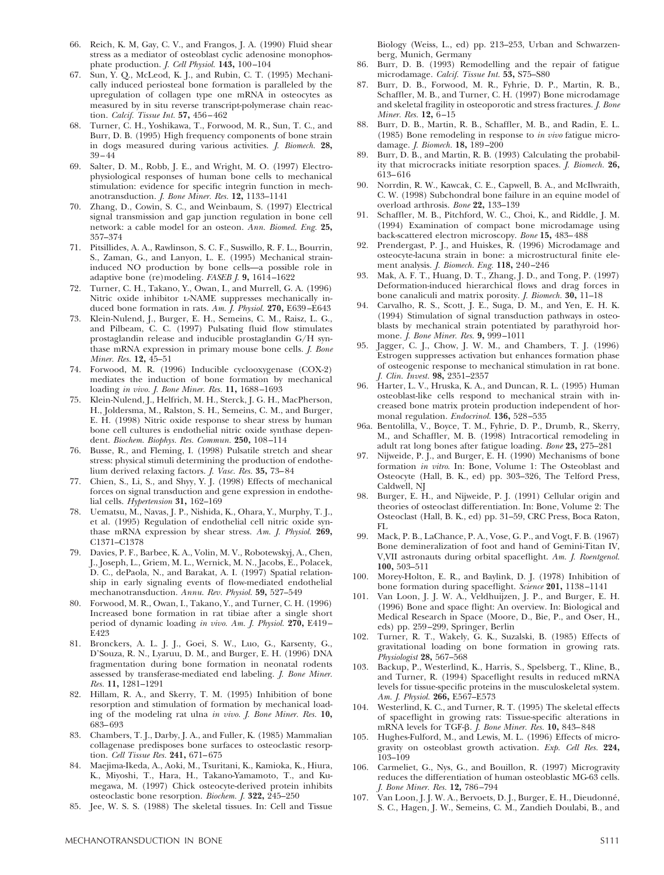- 66. Reich, K. M, Gay, C. V., and Frangos, J. A. (1990) Fluid shear stress as a mediator of osteoblast cyclic adenosine monophosphate production. *J. Cell Physiol.* **143,** 100–104
- 67. Sun, Y. Q., McLeod, K. J., and Rubin, C. T. (1995) Mechanically induced periosteal bone formation is paralleled by the upregulation of collagen type one mRNA in osteocytes as measured by in situ reverse transcript-polymerase chain reaction. *Calcif. Tissue Int.* **57,** 456–462
- 68. Turner, C. H., Yoshikawa, T., Forwood, M. R., Sun, T. C., and Burr, D. B. (1995) High frequency components of bone strain in dogs measured during various activities. *J. Biomech.* **28,** 39–44
- 69. Salter, D. M., Robb, J. E., and Wright, M. O. (1997) Electrophysiological responses of human bone cells to mechanical stimulation: evidence for specific integrin function in mechanotransduction. *J. Bone Miner. Res.* **12,** 1133–1141
- 70. Zhang, D., Cowin, S. C., and Weinbaum, S. (1997) Electrical signal transmission and gap junction regulation in bone cell network: a cable model for an osteon. *Ann. Biomed. Eng.* **25,** 357–374
- 71. Pitsillides, A. A., Rawlinson, S. C. F., Suswillo, R. F. L., Bourrin, S., Zaman, G., and Lanyon, L. E. (1995) Mechanical straininduced NO production by bone cells—a possible role in adaptive bone (re)modeling. *FASEB J.* **9,** 1614–1622
- 72. Turner, C. H., Takano, Y., Owan, I., and Murrell, G. A. (1996) Nitric oxide inhibitor l-NAME suppresses mechanically induced bone formation in rats. *Am. J. Physiol.* **270,** E639–E643
- 73. Klein-Nulend, J., Burger, E. H., Semeins, C. M., Raisz, L. G., and Pilbeam, C. C. (1997) Pulsating fluid flow stimulates prostaglandin release and inducible prostaglandin G/H synthase mRNA expression in primary mouse bone cells. *J. Bone Miner. Res.* **12,** 45–51
- 74. Forwood, M. R. (1996) Inducible cyclooxygenase (COX-2) mediates the induction of bone formation by mechanical loading *in vivo. J. Bone Miner. Res.* **11,** 1688–1693
- 75. Klein-Nulend, J., Helfrich, M. H., Sterck, J. G. H., MacPherson, H., Joldersma, M., Ralston, S. H., Semeins, C. M., and Burger, E. H. (1998) Nitric oxide response to shear stress by human bone cell cultures is endothelial nitric oxide synthase dependent. *Biochem. Biophys. Res. Commun.* **250,** 108–114
- 76. Busse, R., and Fleming, I. (1998) Pulsatile stretch and shear stress: physical stimuli determining the production of endothelium derived relaxing factors. *J. Vasc. Res.* **35,** 73–84
- 77. Chien, S., Li, S., and Shyy, Y. J. (1998) Effects of mechanical forces on signal transduction and gene expression in endothelial cells. *Hypertension* **31,** 162–169
- 78. Uematsu, M., Navas, J. P., Nishida, K., Ohara, Y., Murphy, T. J., et al. (1995) Regulation of endothelial cell nitric oxide synthase mRNA expression by shear stress. *Am. J. Physiol.* **269,** C1371–C1378
- 79. Davies, P. F., Barbee, K. A., Volin, M. V., Robotewskyj, A., Chen, J., Joseph, L., Griem, M. L., Wernick, M. N., Jacobs, E., Polacek, D. C., dePaola, N., and Barakat, A. I. (1997) Spatial relationship in early signaling events of flow-mediated endothelial mechanotransduction. *Annu. Rev. Physiol.* **59,** 527–549
- 80. Forwood, M. R., Owan, I., Takano, Y., and Turner, C. H. (1996) Increased bone formation in rat tibiae after a single short period of dynamic loading *in vivo. Am. J. Physiol.* **270,** E419– E423
- 81. Bronckers, A. L. J. J., Goei, S. W., Luo, G., Karsenty, G., D'Souza, R. N., Lyaruu, D. M., and Burger, E. H. (1996) DNA fragmentation during bone formation in neonatal rodents assessed by transferase-mediated end labeling. *J. Bone Miner. Res.* **11,** 1281–1291
- 82. Hillam, R. A., and Skerry, T. M. (1995) Inhibition of bone resorption and stimulation of formation by mechanical loading of the modeling rat ulna *in vivo. J. Bone Miner. Res.* **10,** 683–693
- 83. Chambers, T. J., Darby, J. A., and Fuller, K. (1985) Mammalian collagenase predisposes bone surfaces to osteoclastic resorption. *Cell Tissue Res.* **241,** 671–675
- 84. Maejima-Ikeda, A., Aoki, M., Tsuritani, K., Kamioka, K., Hiura, K., Miyoshi, T., Hara, H., Takano-Yamamoto, T., and Kumegawa, M. (1997) Chick osteocyte-derived protein inhibits osteoclastic bone resorption. *Biochem. J.* **322,** 245–250
- 85. Jee, W. S. S. (1988) The skeletal tissues. In: Cell and Tissue

Biology (Weiss, L., ed) pp. 213–253, Urban and Schwarzenberg, Munich, Germany

- 86. Burr, D. B. (1993) Remodelling and the repair of fatigue microdamage. *Calcif. Tissue Int.* **53,** S75–S80
- 87. Burr, D. B., Forwood, M. R., Fyhrie, D. P., Martin, R. B., Schaffler, M. B., and Turner, C. H. (1997) Bone microdamage and skeletal fragility in osteoporotic and stress fractures. *J. Bone Miner. Res.* **12,** 6–15
- 88. Burr, D. B., Martin, R. B., Schaffler, M. B., and Radin, E. L. (1985) Bone remodeling in response to *in vivo* fatigue microdamage. *J. Biomech.* **18,** 189–200
- Burr, D. B., and Martin, R. B. (1993) Calculating the probability that microcracks initiate resorption spaces. *J. Biomech.* **26,** 613–616
- 90. Norrdin, R. W., Kawcak, C. E., Capwell, B. A., and McIlwraith, C. W. (1998) Subchondral bone failure in an equine model of overload arthrosis. *Bone* **22,** 133–139
- 91. Schaffler, M. B., Pitchford, W. C., Choi, K., and Riddle, J. M. (1994) Examination of compact bone microdamage using back-scattered electron microscopy. *Bone* **15,** 483–488
- 92. Prendergast, P. J., and Huiskes, R. (1996) Microdamage and osteocyte-lacuna strain in bone: a microstructural finite element analysis. *J. Biomech. Eng.* **118,** 240–246
- 93. Mak, A. F. T., Huang, D. T., Zhang, J. D., and Tong, P. (1997) Deformation-induced hierarchical flows and drag forces in bone canaliculi and matrix porosity. *J. Biomech.* **30,** 11–18
- Carvalho, R. S., Scott, J. E., Suga, D. M., and Yen, E. H. K. (1994) Stimulation of signal transduction pathways in osteoblasts by mechanical strain potentiated by parathyroid hormone. *J. Bone Miner. Res.* **9,** 999–1011
- 95. Jagger, C. J., Chow, J. W. M., and Chambers, T. J. (1996) Estrogen suppresses activation but enhances formation phase of osteogenic response to mechanical stimulation in rat bone. *J. Clin. Invest.* **98,** 2351–2357
- 96. Harter, L. V., Hruska, K. A., and Duncan, R. L. (1995) Human osteoblast-like cells respond to mechanical strain with increased bone matrix protein production independent of hormonal regulation. *Endocrinol.* **136,** 528–535
- 96a. Bentolilla, V., Boyce, T. M., Fyhrie, D. P., Drumb, R., Skerry, M., and Schaffler, M. B. (1998) Intracortical remodeling in adult rat long bones after fatigue loading. *Bone* **23,** 275–281
- 97. Nijweide, P. J., and Burger, E. H. (1990) Mechanisms of bone formation *in vitro*. In: Bone, Volume 1: The Osteoblast and Osteocyte (Hall, B. K., ed) pp. 303–326, The Telford Press, Caldwell, NJ
- 98. Burger, E. H., and Nijweide, P. J. (1991) Cellular origin and theories of osteoclast differentiation. In: Bone, Volume 2: The Osteoclast (Hall, B. K., ed) pp. 31–59, CRC Press, Boca Raton, FL
- 99. Mack, P. B., LaChance, P. A., Vose, G. P., and Vogt, F. B. (1967) Bone demineralization of foot and hand of Gemini-Titan IV, V,VII astronauts during orbital spaceflight. *Am. J. Roentgenol.* **100,** 503–511
- 100. Morey-Holton, E. R., and Baylink, D. J. (1978) Inhibition of bone formation during spaceflight. *Science* **201,** 1138–1141
- 101. Van Loon, J. J. W. A., Veldhuijzen, J. P., and Burger, E. H. (1996) Bone and space flight: An overview. In: Biological and Medical Research in Space (Moore, D., Bie, P., and Oser, H., eds) pp. 259–299, Springer, Berlin
- 102. Turner, R. T., Wakely, G. K., Suzalski, B. (1985) Effects of gravitational loading on bone formation in growing rats. *Physiologist* **28,** 567–568
- 103. Backup, P., Westerlind, K., Harris, S., Spelsberg, T., Kline, B., and Turner, R. (1994) Spaceflight results in reduced mRNA levels for tissue-specific proteins in the musculoskeletal system. *Am. J. Physiol.* **266,** E567–E573
- 104. Westerlind, K. C., and Turner, R. T. (1995) The skeletal effects of spaceflight in growing rats: Tissue-specific alterations in mRNA levels for TGF-b. *J. Bone Miner. Res.* **10,** 843–848
- 105. Hughes-Fulford, M., and Lewis, M. L. (1996) Effects of microgravity on osteoblast growth activation. *Exp. Cell Res.* **224,** 103–109
- 106. Carmeliet, G., Nys, G., and Bouillon, R. (1997) Microgravity reduces the differentiation of human osteoblastic MG-63 cells. *J. Bone Miner. Res.* **12,** 786–794
- 107. Van Loon, J. J. W. A., Bervoets, D. J., Burger, E. H., Dieudonné, S. C., Hagen, J. W., Semeins, C. M., Zandieh Doulabi, B., and